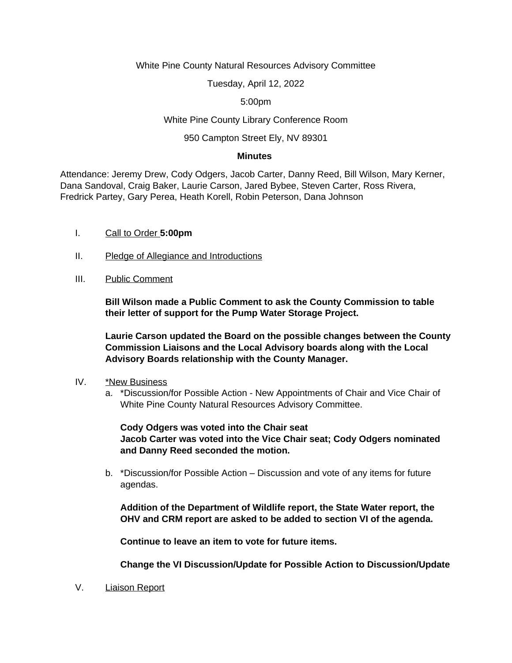#### White Pine County Natural Resources Advisory Committee

Tuesday, April 12, 2022

5:00pm

## White Pine County Library Conference Room

## 950 Campton Street Ely, NV 89301

#### **Minutes**

Attendance: Jeremy Drew, Cody Odgers, Jacob Carter, Danny Reed, Bill Wilson, Mary Kerner, Dana Sandoval, Craig Baker, Laurie Carson, Jared Bybee, Steven Carter, Ross Rivera, Fredrick Partey, Gary Perea, Heath Korell, Robin Peterson, Dana Johnson

- I. Call to Order **5:00pm**
- II. Pledge of Allegiance and Introductions
- III. Public Comment

**Bill Wilson made a Public Comment to ask the County Commission to table their letter of support for the Pump Water Storage Project.** 

**Laurie Carson updated the Board on the possible changes between the County Commission Liaisons and the Local Advisory boards along with the Local Advisory Boards relationship with the County Manager.** 

- IV. \*New Business
	- a. \*Discussion/for Possible Action New Appointments of Chair and Vice Chair of White Pine County Natural Resources Advisory Committee.

**Cody Odgers was voted into the Chair seat Jacob Carter was voted into the Vice Chair seat; Cody Odgers nominated and Danny Reed seconded the motion.** 

b. \*Discussion/for Possible Action – Discussion and vote of any items for future agendas.

**Addition of the Department of Wildlife report, the State Water report, the OHV and CRM report are asked to be added to section VI of the agenda.**

**Continue to leave an item to vote for future items.**

**Change the VI Discussion/Update for Possible Action to Discussion/Update**

V. Liaison Report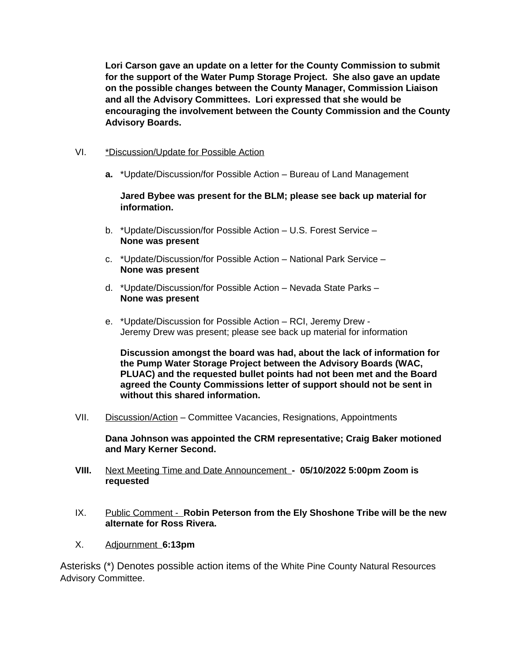**Lori Carson gave an update on a letter for the County Commission to submit for the support of the Water Pump Storage Project. She also gave an update on the possible changes between the County Manager, Commission Liaison and all the Advisory Committees. Lori expressed that she would be encouraging the involvement between the County Commission and the County Advisory Boards.** 

# VI. \*Discussion/Update for Possible Action

**a.** \*Update/Discussion/for Possible Action – Bureau of Land Management

**Jared Bybee was present for the BLM; please see back up material for information.** 

- b. \*Update/Discussion/for Possible Action U.S. Forest Service **None was present**
- c. \*Update/Discussion/for Possible Action National Park Service **None was present**
- d. \*Update/Discussion/for Possible Action Nevada State Parks **None was present**
- e. \*Update/Discussion for Possible Action RCI, Jeremy Drew Jeremy Drew was present; please see back up material for information

**Discussion amongst the board was had, about the lack of information for the Pump Water Storage Project between the Advisory Boards (WAC, PLUAC) and the requested bullet points had not been met and the Board agreed the County Commissions letter of support should not be sent in without this shared information.** 

VII. Discussion/Action – Committee Vacancies, Resignations, Appointments

**Dana Johnson was appointed the CRM representative; Craig Baker motioned and Mary Kerner Second.** 

- **VIII.** Next Meeting Time and Date Announcement  **05/10/2022 5:00pm Zoom is requested**
- IX. Public Comment **Robin Peterson from the Ely Shoshone Tribe will be the new alternate for Ross Rivera.**
- X. Adjournment **6:13pm**

Asterisks (\*) Denotes possible action items of the White Pine County Natural Resources Advisory Committee.